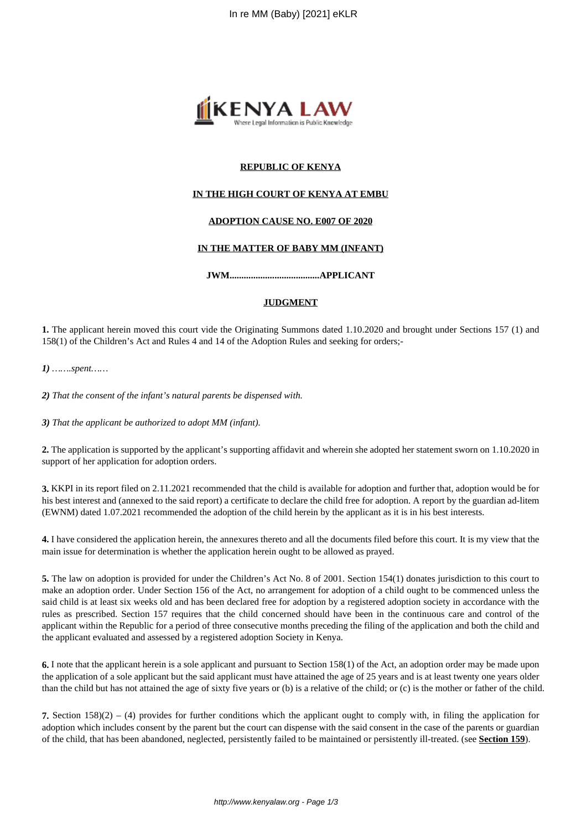

## **REPUBLIC OF KENYA**

## **IN THE HIGH COURT OF KENYA AT EMBU**

## **ADOPTION CAUSE NO. E007 OF 2020**

#### **IN THE MATTER OF BABY MM (INFANT)**

**JWM......................................APPLICANT**

#### **JUDGMENT**

**1.** The applicant herein moved this court vide the Originating Summons dated 1.10.2020 and brought under Sections 157 (1) and 158(1) of the Children's Act and Rules 4 and 14 of the Adoption Rules and seeking for orders;-

*1) …….spent……*

*2) That the consent of the infant's natural parents be dispensed with.*

*3) That the applicant be authorized to adopt MM (infant).* 

**2.** The application is supported by the applicant's supporting affidavit and wherein she adopted her statement sworn on 1.10.2020 in support of her application for adoption orders.

**3.** KKPI in its report filed on 2.11.2021 recommended that the child is available for adoption and further that, adoption would be for his best interest and (annexed to the said report) a certificate to declare the child free for adoption. A report by the guardian ad-litem (EWNM) dated 1.07.2021 recommended the adoption of the child herein by the applicant as it is in his best interests.

**4.** I have considered the application herein, the annexures thereto and all the documents filed before this court. It is my view that the main issue for determination is whether the application herein ought to be allowed as prayed.

**5.** The law on adoption is provided for under the Children's Act No. 8 of 2001. Section 154(1) donates jurisdiction to this court to make an adoption order. Under Section 156 of the Act, no arrangement for adoption of a child ought to be commenced unless the said child is at least six weeks old and has been declared free for adoption by a registered adoption society in accordance with the rules as prescribed. Section 157 requires that the child concerned should have been in the continuous care and control of the applicant within the Republic for a period of three consecutive months preceding the filing of the application and both the child and the applicant evaluated and assessed by a registered adoption Society in Kenya.

**6.** I note that the applicant herein is a sole applicant and pursuant to Section 158(1) of the Act, an adoption order may be made upon the application of a sole applicant but the said applicant must have attained the age of 25 years and is at least twenty one years older than the child but has not attained the age of sixty five years or (b) is a relative of the child; or (c) is the mother or father of the child.

**7.** Section 158)(2) – (4) provides for further conditions which the applicant ought to comply with, in filing the application for adoption which includes consent by the parent but the court can dispense with the said consent in the case of the parents or guardian of the child, that has been abandoned, neglected, persistently failed to be maintained or persistently ill-treated. (see **Section 159**).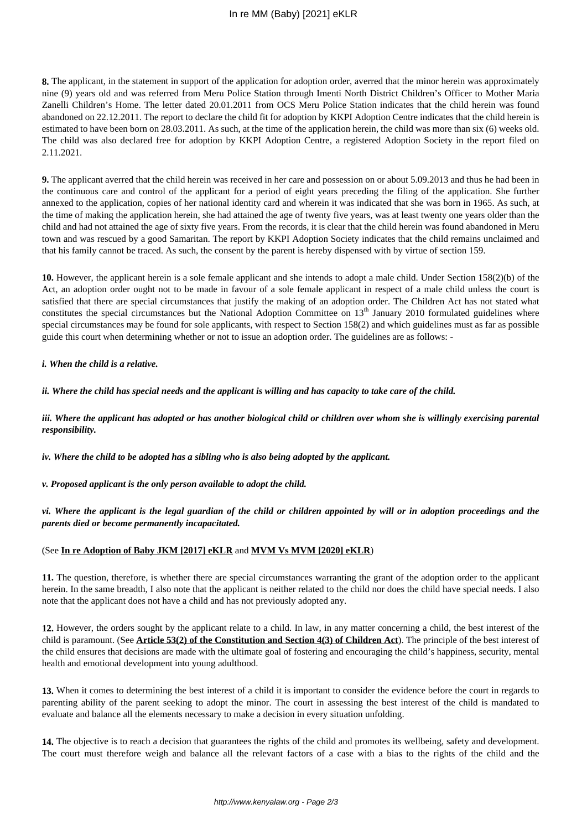**8.** The applicant, in the statement in support of the application for adoption order, averred that the minor herein was approximately nine (9) years old and was referred from Meru Police Station through Imenti North District Children's Officer to Mother Maria Zanelli Children's Home. The letter dated 20.01.2011 from OCS Meru Police Station indicates that the child herein was found abandoned on 22.12.2011. The report to declare the child fit for adoption by KKPI Adoption Centre indicates that the child herein is estimated to have been born on 28.03.2011. As such, at the time of the application herein, the child was more than six (6) weeks old. The child was also declared free for adoption by KKPI Adoption Centre, a registered Adoption Society in the report filed on 2.11.2021.

**9.** The applicant averred that the child herein was received in her care and possession on or about 5.09.2013 and thus he had been in the continuous care and control of the applicant for a period of eight years preceding the filing of the application. She further annexed to the application, copies of her national identity card and wherein it was indicated that she was born in 1965. As such, at the time of making the application herein, she had attained the age of twenty five years, was at least twenty one years older than the child and had not attained the age of sixty five years. From the records, it is clear that the child herein was found abandoned in Meru town and was rescued by a good Samaritan. The report by KKPI Adoption Society indicates that the child remains unclaimed and that his family cannot be traced. As such, the consent by the parent is hereby dispensed with by virtue of section 159.

**10.** However, the applicant herein is a sole female applicant and she intends to adopt a male child. Under Section 158(2)(b) of the Act, an adoption order ought not to be made in favour of a sole female applicant in respect of a male child unless the court is satisfied that there are special circumstances that justify the making of an adoption order. The Children Act has not stated what constitutes the special circumstances but the National Adoption Committee on  $13<sup>th</sup>$  January 2010 formulated guidelines where special circumstances may be found for sole applicants, with respect to Section 158(2) and which guidelines must as far as possible guide this court when determining whether or not to issue an adoption order. The guidelines are as follows: -

#### *i. When the child is a relative.*

*ii. Where the child has special needs and the applicant is willing and has capacity to take care of the child.*

*iii. Where the applicant has adopted or has another biological child or children over whom she is willingly exercising parental responsibility.*

*iv. Where the child to be adopted has a sibling who is also being adopted by the applicant.*

*v. Proposed applicant is the only person available to adopt the child.*

*vi. Where the applicant is the legal guardian of the child or children appointed by will or in adoption proceedings and the parents died or become permanently incapacitated.* 

## (See **In re Adoption of Baby JKM [2017] eKLR** and **MVM Vs MVM [2020] eKLR**)

**11.** The question, therefore, is whether there are special circumstances warranting the grant of the adoption order to the applicant herein. In the same breadth, I also note that the applicant is neither related to the child nor does the child have special needs. I also note that the applicant does not have a child and has not previously adopted any.

**12.** However, the orders sought by the applicant relate to a child. In law, in any matter concerning a child, the best interest of the child is paramount. (See **Article 53(2) of the Constitution and Section 4(3) of Children Act**). The principle of the best interest of the child ensures that decisions are made with the ultimate goal of fostering and encouraging the child's happiness, security, mental health and emotional development into young adulthood.

**13.** When it comes to determining the best interest of a child it is important to consider the evidence before the court in regards to parenting ability of the parent seeking to adopt the minor. The court in assessing the best interest of the child is mandated to evaluate and balance all the elements necessary to make a decision in every situation unfolding.

**14.** The objective is to reach a decision that guarantees the rights of the child and promotes its wellbeing, safety and development. The court must therefore weigh and balance all the relevant factors of a case with a bias to the rights of the child and the